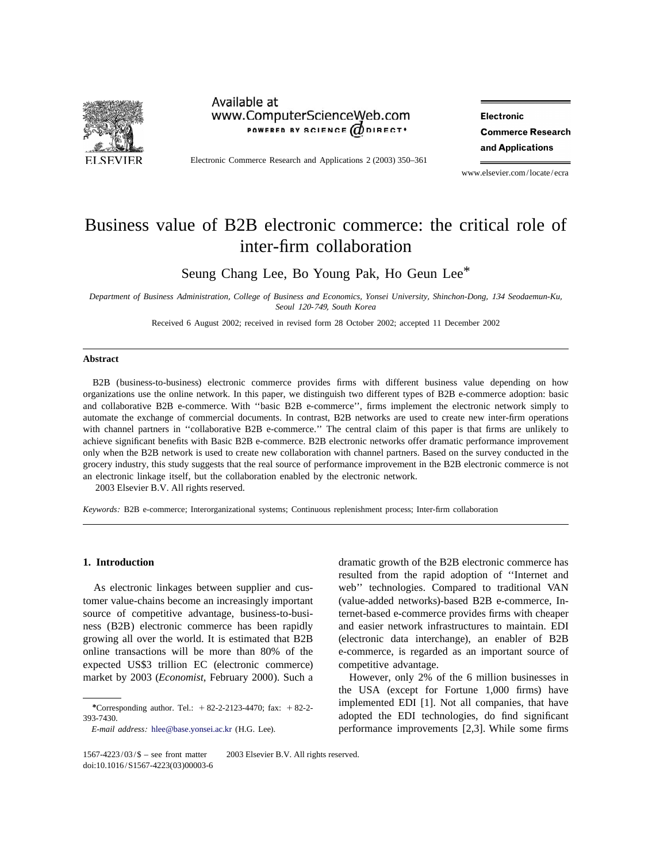

### Available at www.ComputerScienceWeb.com POWERED BY SCIENCE (ODIRECT<sup>+</sup>

**Electronic Commerce Research** and Applications

Electronic Commerce Research and Applications 2 (2003) 350–361

www.elsevier.com/locate/ecra

## Business value of B2B electronic commerce: the critical role of inter-firm collaboration

Seung Chang Lee, Bo Young Pak, Ho Geun Lee\*

*Department of Business Administration*, *College of Business and Economics*, *Yonsei University*, *Shinchon*-*Dong*, <sup>134</sup> *Seodaemun*-*Ku*, *Seoul* <sup>120</sup>-749, *South Korea*

Received 6 August 2002; received in revised form 28 October 2002; accepted 11 December 2002

### **Abstract**

B2B (business-to-business) electronic commerce provides firms with different business value depending on how organizations use the online network. In this paper, we distinguish two different types of B2B e-commerce adoption: basic and collaborative B2B e-commerce. With ''basic B2B e-commerce'', firms implement the electronic network simply to automate the exchange of commercial documents. In contrast, B2B networks are used to create new inter-firm operations with channel partners in "collaborative B2B e-commerce." The central claim of this paper is that firms are unlikely to achieve significant benefits with Basic B2B e-commerce. B2B electronic networks offer dramatic performance improvement only when the B2B network is used to create new collaboration with channel partners. Based on the survey conducted in the grocery industry, this study suggests that the real source of performance improvement in the B2B electronic commerce is not an electronic linkage itself, but the collaboration enabled by the electronic network.

2003 Elsevier B.V. All rights reserved.

*Keywords*: B2B e-commerce; Interorganizational systems; Continuous replenishment process; Inter-firm collaboration

tomer value-chains become an increasingly important (value-added networks)-based B2B e-commerce, Insource of competitive advantage, business-to-busi- ternet-based e-commerce provides firms with cheaper ness (B2B) electronic commerce has been rapidly and easier network infrastructures to maintain. EDI growing all over the world. It is estimated that B2B (electronic data interchange), an enabler of B2B online transactions will be more than 80% of the e-commerce, is regarded as an important source of expected US\$3 trillion EC (electronic commerce) competitive advantage. market by 2003 (*Economist*, February 2000). Such a However, only 2% of the 6 million businesses in

**1. Introduction** dramatic growth of the B2B electronic commerce has resulted from the rapid adoption of ''Internet and As electronic linkages between supplier and cus- web'' technologies. Compared to traditional VAN

the USA (except for Fortune 1,000 firms) have <sup>\*</sup>Corresponding author. Tel.: +82-2-2123-4470; fax: +82-2-<br><sup>\*</sup>Corresponding author. Tel.: +82-2-2123-4470; fax: +82-2-<br> *E*-*mail address*: [hlee@base.yonsei.ac.kr](mailto:hlee@base.yonsei.ac.kr) (H.G. Lee). performance improvements [2,3]. While some firms

<sup>393-7430.</sup> adopted the EDI technologies, do find significant

 $1567-4223/03/\$$  – see front matter  $\degree$  2003 Elsevier B.V. All rights reserved. doi:10.1016/S1567-4223(03)00003-6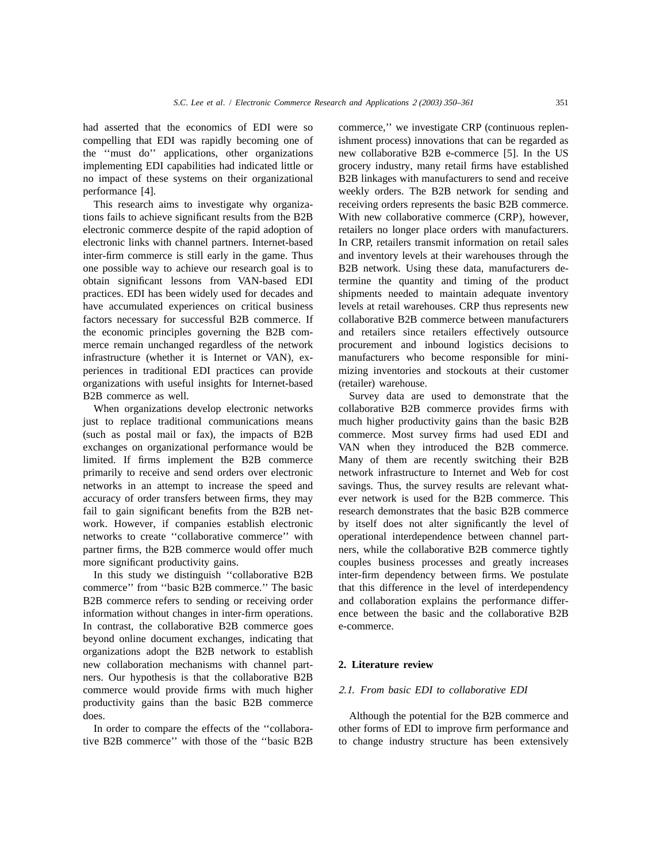compelling that EDI was rapidly becoming one of ishment process) innovations that can be regarded as the ''must do'' applications, other organizations new collaborative B2B e-commerce [5]. In the US implementing EDI capabilities had indicated little or grocery industry, many retail firms have established no impact of these systems on their organizational B2B linkages with manufacturers to send and receive performance [4]. weekly orders. The B2B network for sending and

tions fails to achieve significant results from the B2B With new collaborative commerce (CRP), however, electronic commerce despite of the rapid adoption of retailers no longer place orders with manufacturers. electronic links with channel partners. Internet-based In CRP, retailers transmit information on retail sales inter-firm commerce is still early in the game. Thus and inventory levels at their warehouses through the one possible way to achieve our research goal is to B2B network. Using these data, manufacturers deobtain significant lessons from VAN-based EDI termine the quantity and timing of the product practices. EDI has been widely used for decades and shipments needed to maintain adequate inventory have accumulated experiences on critical business levels at retail warehouses. CRP thus represents new factors necessary for successful B2B commerce. If collaborative B2B commerce between manufacturers the economic principles governing the B2B com- and retailers since retailers effectively outsource merce remain unchanged regardless of the network procurement and inbound logistics decisions to infrastructure (whether it is Internet or VAN), ex- manufacturers who become responsible for miniperiences in traditional EDI practices can provide mizing inventories and stockouts at their customer organizations with useful insights for Internet-based (retailer) warehouse. B2B commerce as well. Survey data are used to demonstrate that the

just to replace traditional communications means much higher productivity gains than the basic B2B (such as postal mail or fax), the impacts of B2B commerce. Most survey firms had used EDI and exchanges on organizational performance would be VAN when they introduced the B2B commerce. limited. If firms implement the B2B commerce Many of them are recently switching their B2B primarily to receive and send orders over electronic network infrastructure to Internet and Web for cost networks in an attempt to increase the speed and savings. Thus, the survey results are relevant whataccuracy of order transfers between firms, they may ever network is used for the B2B commerce. This fail to gain significant benefits from the B2B net-<br>research demonstrates that the basic B2B commerce work. However, if companies establish electronic by itself does not alter significantly the level of networks to create ''collaborative commerce'' with operational interdependence between channel partpartner firms, the B2B commerce would offer much ners, while the collaborative B2B commerce tightly more significant productivity gains. couples business processes and greatly increases

commerce'' from "basic B2B commerce." The basic that this difference in the level of interdependency B2B commerce refers to sending or receiving order and collaboration explains the performance differinformation without changes in inter-firm operations. ence between the basic and the collaborative B2B In contrast, the collaborative B2B commerce goes e-commerce. beyond online document exchanges, indicating that organizations adopt the B2B network to establish new collaboration mechanisms with channel part- **2. Literature review** ners. Our hypothesis is that the collaborative B2B commerce would provide firms with much higher 2 .1. *From basic EDI to collaborative EDI* productivity gains than the basic B2B commerce does. Although the potential for the B2B commerce and

tive B2B commerce'' with those of the "basic B2B to change industry structure has been extensively

had asserted that the economics of EDI were so commerce," we investigate CRP (continuous replen-This research aims to investigate why organiza- receiving orders represents the basic B2B commerce.

When organizations develop electronic networks collaborative B2B commerce provides firms with In this study we distinguish "collaborative B2B inter-firm dependency between firms. We postulate

In order to compare the effects of the "collabora- other forms of EDI to improve firm performance and